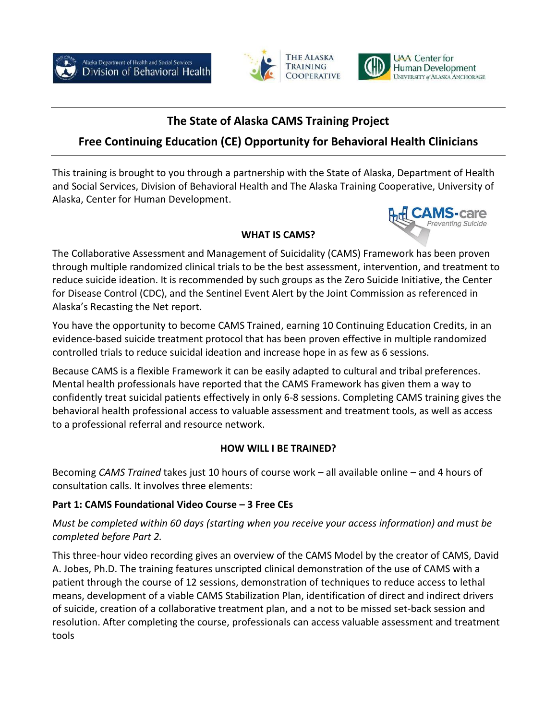





reventing Suicide

# **The State of Alaska CAMS Training Project**

# **Free Continuing Education (CE) Opportunity for Behavioral Health Clinicians**

This training is brought to you through a partnership with the State of Alaska, Department of Health and Social Services, Division of Behavioral Health and The Alaska Training Cooperative, University of Alaska, Center for Human Development.

#### **WHAT IS CAMS?**

The Collaborative Assessment and Management of Suicidality (CAMS) Framework has been proven through multiple randomized clinical trials to be the best assessment, intervention, and treatment to reduce suicide ideation. It is recommended by such groups as the Zero Suicide Initiative, the Center for Disease Control (CDC), and the Sentinel Event Alert by the Joint Commission as referenced in Alaska's Recasting the Net report.

You have the opportunity to become CAMS Trained, earning 10 Continuing Education Credits, in an evidence-based suicide treatment protocol that has been [proven effective](https://cams-care.com/about-cams/the-evidence-base-for-cams/) in multiple randomized controlled trials to reduce suicidal ideation and increase hope in as few as 6 sessions.

Because CAMS is a flexible Framework it can be easily adapted to cultural and tribal preferences. Mental health professionals have reported that the CAMS Framework has given them a way to confidently treat suicidal patients effectively in only 6-8 sessions. Completing CAMS training gives the behavioral health professional access to valuable assessment and treatment tools, as well as access to a professional referral and resource network.

## **HOW WILL I BE TRAINED?**

Becoming *CAMS Trained* takes just 10 hours of course work – all available online – and 4 hours of consultation calls. It involves three elements:

## **Part 1: CAMS Foundational Video Course – 3 Free CEs**

*Must be completed within 60 days (starting when you receive your access information) and must be completed before Part 2.*

This three-hour video recording gives an overview of the CAMS Model by the creator of CAMS, David A. Jobes, Ph.D. The training features unscripted clinical demonstration of the use of CAMS with a patient through the course of 12 sessions, demonstration of techniques to reduce access to lethal means, development of a viable CAMS Stabilization Plan, identification of direct and indirect drivers of suicide, creation of a collaborative treatment plan, and a not to be missed set-back session and resolution. After completing the course, professionals can access valuable assessment and treatment tools